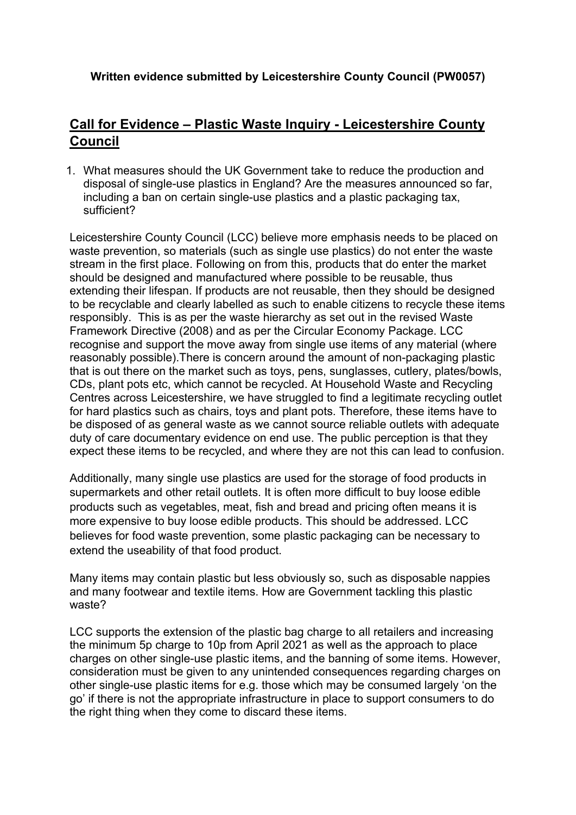**Written evidence submitted by Leicestershire County Council (PW0057)**

## **Call for Evidence – Plastic Waste Inquiry - Leicestershire County Council**

1. What measures should the UK Government take to reduce the production and disposal of single-use plastics in England? Are the measures announced so far, including a ban on certain single-use plastics and a plastic packaging tax, sufficient?

Leicestershire County Council (LCC) believe more emphasis needs to be placed on waste prevention, so materials (such as single use plastics) do not enter the waste stream in the first place. Following on from this, products that do enter the market should be designed and manufactured where possible to be reusable, thus extending their lifespan. If products are not reusable, then they should be designed to be recyclable and clearly labelled as such to enable citizens to recycle these items responsibly. This is as per the waste hierarchy as set out in the revised Waste Framework Directive (2008) and as per the Circular Economy Package. LCC recognise and support the move away from single use items of any material (where reasonably possible).There is concern around the amount of non-packaging plastic that is out there on the market such as toys, pens, sunglasses, cutlery, plates/bowls, CDs, plant pots etc, which cannot be recycled. At Household Waste and Recycling Centres across Leicestershire, we have struggled to find a legitimate recycling outlet for hard plastics such as chairs, toys and plant pots. Therefore, these items have to be disposed of as general waste as we cannot source reliable outlets with adequate duty of care documentary evidence on end use. The public perception is that they expect these items to be recycled, and where they are not this can lead to confusion.

Additionally, many single use plastics are used for the storage of food products in supermarkets and other retail outlets. It is often more difficult to buy loose edible products such as vegetables, meat, fish and bread and pricing often means it is more expensive to buy loose edible products. This should be addressed. LCC believes for food waste prevention, some plastic packaging can be necessary to extend the useability of that food product.

Many items may contain plastic but less obviously so, such as disposable nappies and many footwear and textile items. How are Government tackling this plastic waste?

LCC supports the extension of the plastic bag charge to all retailers and increasing the minimum 5p charge to 10p from April 2021 as well as the approach to place charges on other single-use plastic items, and the banning of some items. However, consideration must be given to any unintended consequences regarding charges on other single-use plastic items for e.g. those which may be consumed largely 'on the go' if there is not the appropriate infrastructure in place to support consumers to do the right thing when they come to discard these items.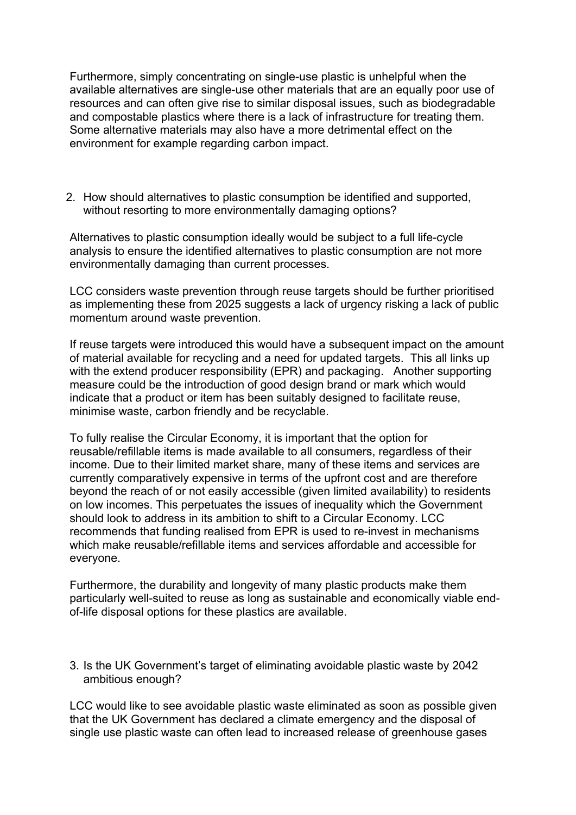Furthermore, simply concentrating on single-use plastic is unhelpful when the available alternatives are single-use other materials that are an equally poor use of resources and can often give rise to similar disposal issues, such as biodegradable and compostable plastics where there is a lack of infrastructure for treating them. Some alternative materials may also have a more detrimental effect on the environment for example regarding carbon impact.

2. How should alternatives to plastic consumption be identified and supported, without resorting to more environmentally damaging options?

Alternatives to plastic consumption ideally would be subject to a full life-cycle analysis to ensure the identified alternatives to plastic consumption are not more environmentally damaging than current processes.

LCC considers waste prevention through reuse targets should be further prioritised as implementing these from 2025 suggests a lack of urgency risking a lack of public momentum around waste prevention.

If reuse targets were introduced this would have a subsequent impact on the amount of material available for recycling and a need for updated targets. This all links up with the extend producer responsibility (EPR) and packaging. Another supporting measure could be the introduction of good design brand or mark which would indicate that a product or item has been suitably designed to facilitate reuse, minimise waste, carbon friendly and be recyclable.

To fully realise the Circular Economy, it is important that the option for reusable/refillable items is made available to all consumers, regardless of their income. Due to their limited market share, many of these items and services are currently comparatively expensive in terms of the upfront cost and are therefore beyond the reach of or not easily accessible (given limited availability) to residents on low incomes. This perpetuates the issues of inequality which the Government should look to address in its ambition to shift to a Circular Economy. LCC recommends that funding realised from EPR is used to re-invest in mechanisms which make reusable/refillable items and services affordable and accessible for everyone.

Furthermore, the durability and longevity of many plastic products make them particularly well-suited to reuse as long as sustainable and economically viable endof-life disposal options for these plastics are available.

3. Is the UK Government's target of eliminating avoidable plastic waste by 2042 ambitious enough?

LCC would like to see avoidable plastic waste eliminated as soon as possible given that the UK Government has declared a climate emergency and the disposal of single use plastic waste can often lead to increased release of greenhouse gases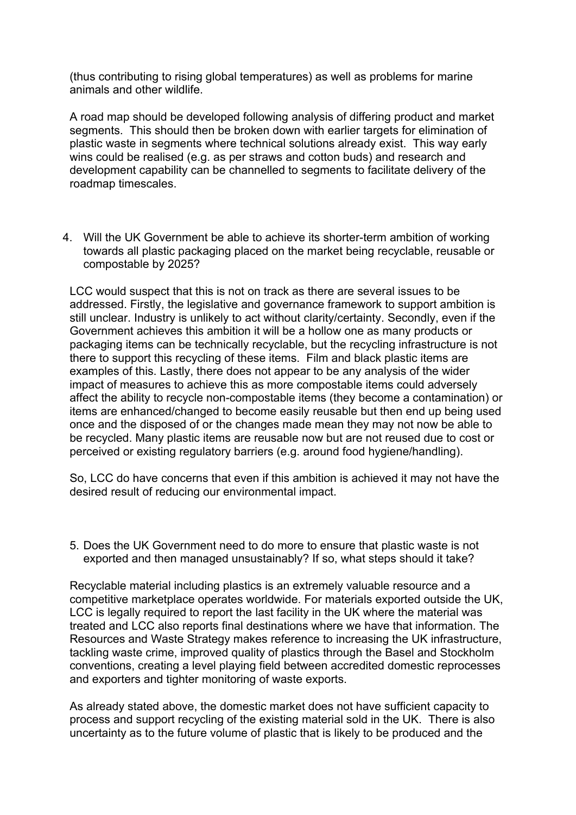(thus contributing to rising global temperatures) as well as problems for marine animals and other wildlife.

A road map should be developed following analysis of differing product and market segments. This should then be broken down with earlier targets for elimination of plastic waste in segments where technical solutions already exist. This way early wins could be realised (e.g. as per straws and cotton buds) and research and development capability can be channelled to segments to facilitate delivery of the roadmap timescales.

4. Will the UK Government be able to achieve its shorter-term ambition of working towards all plastic packaging placed on the market being recyclable, reusable or compostable by 2025?

LCC would suspect that this is not on track as there are several issues to be addressed. Firstly, the legislative and governance framework to support ambition is still unclear. Industry is unlikely to act without clarity/certainty. Secondly, even if the Government achieves this ambition it will be a hollow one as many products or packaging items can be technically recyclable, but the recycling infrastructure is not there to support this recycling of these items. Film and black plastic items are examples of this. Lastly, there does not appear to be any analysis of the wider impact of measures to achieve this as more compostable items could adversely affect the ability to recycle non-compostable items (they become a contamination) or items are enhanced/changed to become easily reusable but then end up being used once and the disposed of or the changes made mean they may not now be able to be recycled. Many plastic items are reusable now but are not reused due to cost or perceived or existing regulatory barriers (e.g. around food hygiene/handling).

So, LCC do have concerns that even if this ambition is achieved it may not have the desired result of reducing our environmental impact.

5. Does the UK Government need to do more to ensure that plastic waste is not exported and then managed unsustainably? If so, what steps should it take?

Recyclable material including plastics is an extremely valuable resource and a competitive marketplace operates worldwide. For materials exported outside the UK, LCC is legally required to report the last facility in the UK where the material was treated and LCC also reports final destinations where we have that information. The Resources and Waste Strategy makes reference to increasing the UK infrastructure, tackling waste crime, improved quality of plastics through the Basel and Stockholm conventions, creating a level playing field between accredited domestic reprocesses and exporters and tighter monitoring of waste exports.

As already stated above, the domestic market does not have sufficient capacity to process and support recycling of the existing material sold in the UK. There is also uncertainty as to the future volume of plastic that is likely to be produced and the